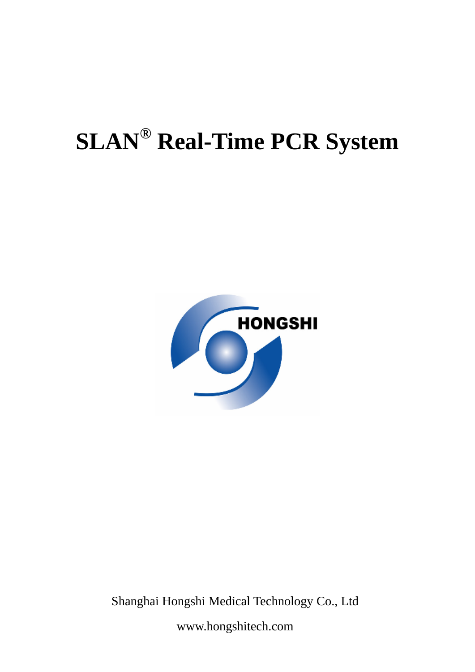# **SLAN® Real-Time PCR System**



Shanghai Hongshi Medical Technology Co., Ltd

www.hongshitech.com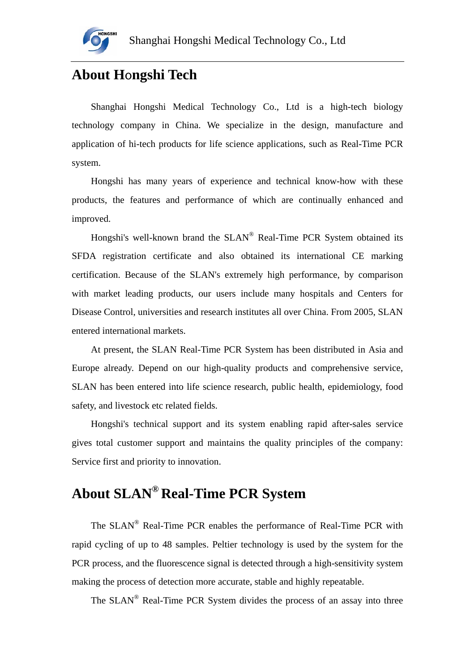

# **About H**o**ngshi Tech**

Shanghai Hongshi Medical Technology Co., Ltd is a high-tech biology technology company in China. We specialize in the design, manufacture and application of hi-tech products for life science applications, such as Real-Time PCR system.

Hongshi has many years of experience and technical know-how with these products, the features and performance of which are continually enhanced and improved.

Hongshi's well-known brand the SLAN® Real-Time PCR System obtained its SFDA registration certificate and also obtained its international CE marking certification. Because of the SLAN's extremely high performance, by comparison with market leading products, our users include many hospitals and Centers for Disease Control, universities and research institutes all over China. From 2005, SLAN entered international markets.

At present, the SLAN Real-Time PCR System has been distributed in Asia and Europe already. Depend on our high-quality products and comprehensive service, SLAN has been entered into life science research, public health, epidemiology, food safety, and livestock etc related fields.

Hongshi's technical support and its system enabling rapid after-sales service gives total customer support and maintains the quality principles of the company: Service first and priority to innovation.

# **About SLAN® Real-Time PCR System**

The SLAN® Real-Time PCR enables the performance of Real-Time PCR with rapid cycling of up to 48 samples. Peltier technology is used by the system for the PCR process, and the fluorescence signal is detected through a high-sensitivity system making the process of detection more accurate, stable and highly repeatable.

The SLAN® Real-Time PCR System divides the process of an assay into three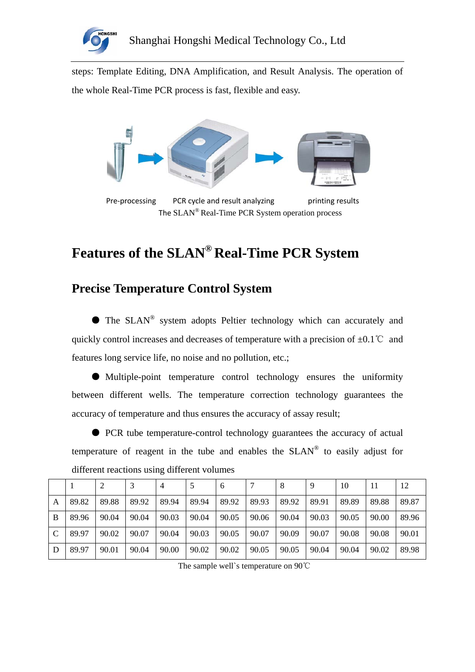

steps: Template Editing, DNA Amplification, and Result Analysis. The operation of the whole Real-Time PCR process is fast, flexible and easy.



Pre-processing PCR cycle and result analyzing brinting results The SLAN® Real-Time PCR System operation process

# **Features of the SLAN® Real-Time PCR System**

### **Precise Temperature Control System**

● The SLAN® system adopts Peltier technology which can accurately and quickly control increases and decreases of temperature with a precision of  $\pm 0.1^{\circ}$  and features long service life, no noise and no pollution, etc.;

● Multiple-point temperature control technology ensures the uniformity between different wells. The temperature correction technology guarantees the accuracy of temperature and thus ensures the accuracy of assay result;

● PCR tube temperature-control technology guarantees the accuracy of actual temperature of reagent in the tube and enables the  $SLAN^{\circledR}$  to easily adjust for different reactions using different volumes

|              |       |       |       | 4     |       | 6     |       | 8     | 9     | 10    |       | 12    |
|--------------|-------|-------|-------|-------|-------|-------|-------|-------|-------|-------|-------|-------|
| A            | 89.82 | 89.88 | 89.92 | 89.94 | 89.94 | 89.92 | 89.93 | 89.92 | 89.91 | 89.89 | 89.88 | 89.87 |
| B            | 89.96 | 90.04 | 90.04 | 90.03 | 90.04 | 90.05 | 90.06 | 90.04 | 90.03 | 90.05 | 90.00 | 89.96 |
| $\mathsf{C}$ | 89.97 | 90.02 | 90.07 | 90.04 | 90.03 | 90.05 | 90.07 | 90.09 | 90.07 | 90.08 | 90.08 | 90.01 |
| D            | 89.97 | 90.01 | 90.04 | 90.00 | 90.02 | 90.02 | 90.05 | 90.05 | 90.04 | 90.04 | 90.02 | 89.98 |

The sample well`s temperature on 90℃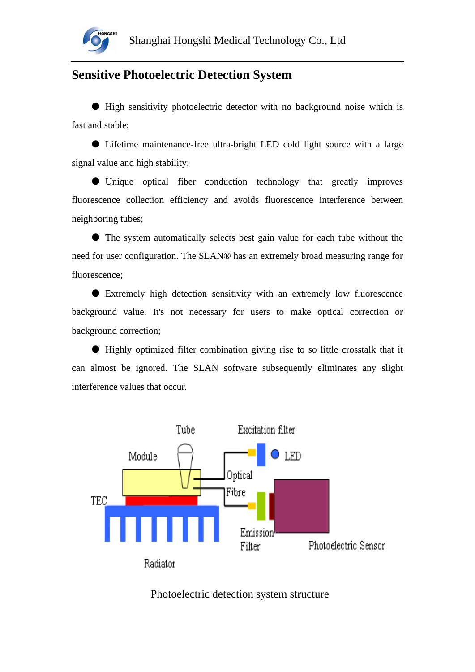

#### **Sensitive Photoelectric Detection System**

● High sensitivity photoelectric detector with no background noise which is fast and stable;

● Lifetime maintenance-free ultra-bright LED cold light source with a large signal value and high stability;

● Unique optical fiber conduction technology that greatly improves fluorescence collection efficiency and avoids fluorescence interference between neighboring tubes;

● The system automatically selects best gain value for each tube without the need for user configuration. The SLAN® has an extremely broad measuring range for fluorescence;

● Extremely high detection sensitivity with an extremely low fluorescence background value. It's not necessary for users to make optical correction or background correction;

● Highly optimized filter combination giving rise to so little crosstalk that it can almost be ignored. The SLAN software subsequently eliminates any slight interference values that occur.



#### Photoelectric detection system structure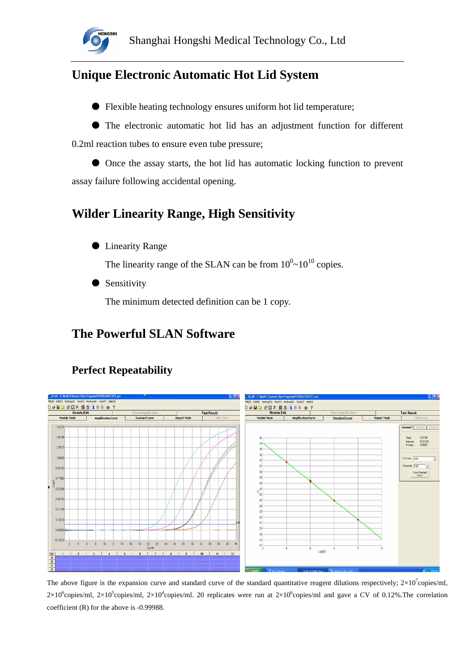

## **Unique Electronic Automatic Hot Lid System**

● Flexible heating technology ensures uniform hot lid temperature;

● The electronic automatic hot lid has an adjustment function for different 0.2ml reaction tubes to ensure even tube pressure;

● Once the assay starts, the hot lid has automatic locking function to prevent assay failure following accidental opening.

## **Wilder Linearity Range, High Sensitivity**

● Linearity Range

The linearity range of the SLAN can be from  $10^{0}$   $\sim$   $10^{10}$  copies.

● Sensitivity

The minimum detected definition can be 1 copy.

## **The Powerful SLAN Software**



#### **Perfect Repeatability**

The above figure is the expansion curve and standard curve of the standard quantitative reagent dilutions respectively;  $2\times10^{7}$ copies/ml,  $2\times10^6$ copies/ml,  $2\times10^5$ copies/ml,  $2\times10^4$ copies/ml. 20 replicates were run at  $2\times10^6$ copies/ml and gave a CV of 0.12%. The correlation coefficient (R) for the above is -0.99988.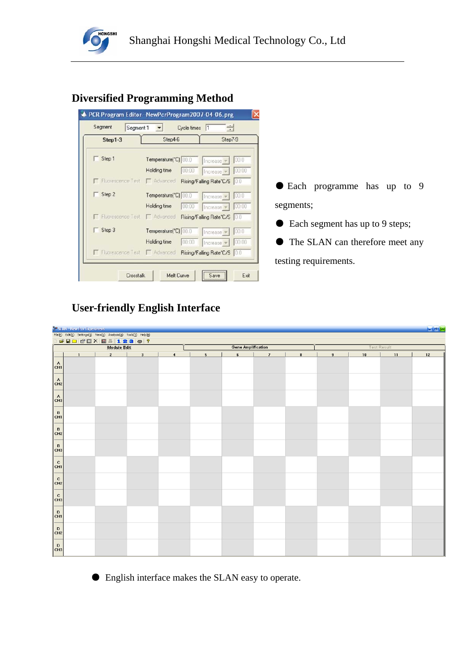

#### **Diversified Programming Method**

| Step1-3                      | Step4-6              | Step7-9                                                   |
|------------------------------|----------------------|-----------------------------------------------------------|
| Step 1                       | Temperature("C) 00.0 | 00.0<br>Increase <sub>v</sub>                             |
|                              | Holding time         | 00:00<br>00:00<br>Increase                                |
|                              |                      | Filuorescence Test   Advanced Rising/Falling Rate*C/S 0.0 |
| Step 2                       | Temperature("C) 00.0 | 00.0<br>Increase v                                        |
|                              | Holding time         | 00:00<br>00:00<br>Increase -                              |
| Ficorescence Test   Advanced |                      | Rising/Falling Rate*C/S 0.0                               |
| Step 3                       | Temperature("C) 00.0 | 100.0<br>Increase -                                       |
|                              | Holding time         | 00:00<br>00:00<br>Increase                                |
| Fluorescence Test Advanced   |                      | Rising/Falling Rate*C/S 0.0                               |

● Each programme has up to 9 segments;

● Each segment has up to 9 steps;

● The SLAN can therefore meet any testing requirements.

#### **User-friendly English Interface**

|                                                                               | <sup>39</sup> SLAN - New Per Experiment                          |                |   |                         |                           |                 |                |                    |                |    |    | $ \sigma$ $\times$ |
|-------------------------------------------------------------------------------|------------------------------------------------------------------|----------------|---|-------------------------|---------------------------|-----------------|----------------|--------------------|----------------|----|----|--------------------|
|                                                                               | File(E) Edit(E) Settings(S) View(V) Analysis(A) Tools(I) Help(H) |                |   |                         |                           |                 |                |                    |                |    |    |                    |
|                                                                               | <b>DERDEDX 841230?</b><br>Module Edit                            |                |   |                         | <b>Gene Amplification</b> |                 |                | <b>Test Result</b> |                |    |    |                    |
|                                                                               | $\mathbf{1}$                                                     | $\overline{2}$ | 3 | $\overline{\mathbf{4}}$ | $5\phantom{.0}$           | $6\phantom{.0}$ | $\overline{7}$ | $\bf{8}$           | $\overline{9}$ | 10 | 11 | 12                 |
| $\left  \begin{smallmatrix} A \\ \text{CH1} \end{smallmatrix} \right $        |                                                                  |                |   |                         |                           |                 |                |                    |                |    |    |                    |
| $c_{H2}$                                                                      |                                                                  |                |   |                         |                           |                 |                |                    |                |    |    |                    |
| $\left  \begin{smallmatrix} A \\ \text{CH3} \end{smallmatrix} \right $        |                                                                  |                |   |                         |                           |                 |                |                    |                |    |    |                    |
| $\left  \begin{smallmatrix} \text{B} \\ \text{CH1} \end{smallmatrix} \right $ |                                                                  |                |   |                         |                           |                 |                |                    |                |    |    |                    |
| $\begin{vmatrix} B \\ CH2 \end{vmatrix}$                                      |                                                                  |                |   |                         |                           |                 |                |                    |                |    |    |                    |
| $\begin{vmatrix} B \\ CH3 \end{vmatrix}$                                      |                                                                  |                |   |                         |                           |                 |                |                    |                |    |    |                    |
| $ _{\text{c}_{\text{H1}}}$                                                    |                                                                  |                |   |                         |                           |                 |                |                    |                |    |    |                    |
| $ _{\text{CH2}}$                                                              |                                                                  |                |   |                         |                           |                 |                |                    |                |    |    |                    |
| $\left  \begin{smallmatrix} C \ C H3 \end{smallmatrix} \right $               |                                                                  |                |   |                         |                           |                 |                |                    |                |    |    |                    |
| $\left  \begin{smallmatrix} 0 \\ \text{CH1} \end{smallmatrix} \right $        |                                                                  |                |   |                         |                           |                 |                |                    |                |    |    |                    |
| $\begin{bmatrix} D \\ CH2 \end{bmatrix}$                                      |                                                                  |                |   |                         |                           |                 |                |                    |                |    |    |                    |
| $\left  \begin{smallmatrix} 0 \\ \text{CH3} \end{smallmatrix} \right $        |                                                                  |                |   |                         |                           |                 |                |                    |                |    |    |                    |

● English interface makes the SLAN easy to operate.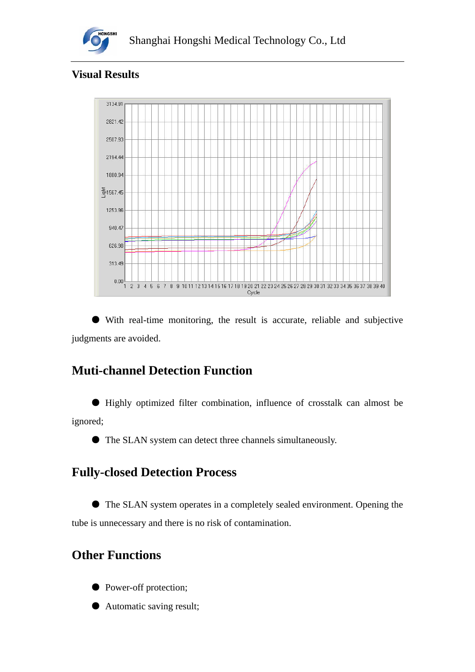

#### **Visual Results**



● With real-time monitoring, the result is accurate, reliable and subjective judgments are avoided.

# **Muti-channel Detection Function**

● Highly optimized filter combination, influence of crosstalk can almost be ignored;

● The SLAN system can detect three channels simultaneously.

# **Fully-closed Detection Process**

The SLAN system operates in a completely sealed environment. Opening the tube is unnecessary and there is no risk of contamination.

# **Other Functions**

- Power-off protection;
- Automatic saving result;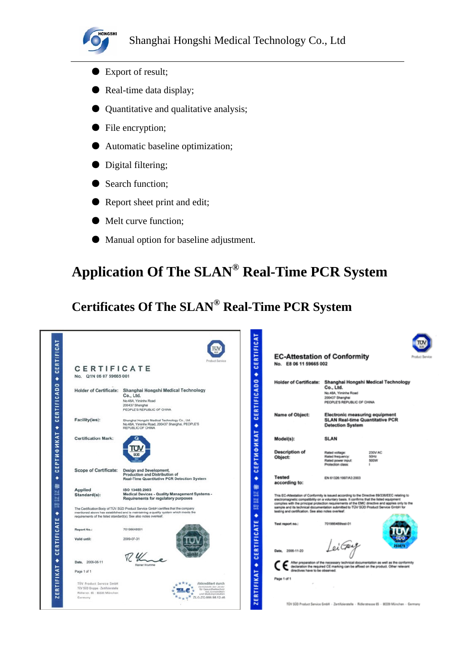

- Export of result;
- Real-time data display;
- Quantitative and qualitative analysis;
- File encryption;
- Automatic baseline optimization;
- Digital filtering;
- Search function;
- Report sheet print and edit;
- Melt curve function;
- Manual option for baseline adjustment.

# **Application Of The SLAN® Real-Time PCR System**

# **Certificates Of The SLAN® Real-Time PCR System**

| CERTIFICATE<br>No. Q1N 06 07 59665 001<br><b>Holder of Certificate:</b><br>Shanghai Hongshi Medical Technology<br>Co., Ltd.<br>No.48A, Yiminhe Road<br>200437 Shanghai<br>PEOPLE'S REPUBLIC OF CHINA<br>Facility(ies):<br>Shanghai Hongshi Medical Technology Co., Ltd.<br>No.48A, Yiminhe Road, 200437 Shanghai, PEOPLE'S<br>REPUBLIC OF CHINA<br><b>Certification Mark:</b><br><b>Scope of Certificate:</b><br>Design and Development,<br>Production and Distribution of<br>Real-Time Quantitative PCR Detection System<br><b>Applied</b><br>ISO 13485:2003<br>Medical Devices - Quality Management Systems -<br>Standard(s):<br>Requirements for regulatory purposes<br>The Certification Body of TÜV SÜD Product Service GmbH certifies that the company<br>mentioned above has established and is maintaining a quality system which meets the | <b>Freduct Service</b> |
|-----------------------------------------------------------------------------------------------------------------------------------------------------------------------------------------------------------------------------------------------------------------------------------------------------------------------------------------------------------------------------------------------------------------------------------------------------------------------------------------------------------------------------------------------------------------------------------------------------------------------------------------------------------------------------------------------------------------------------------------------------------------------------------------------------------------------------------------------------|------------------------|
|                                                                                                                                                                                                                                                                                                                                                                                                                                                                                                                                                                                                                                                                                                                                                                                                                                                     |                        |
|                                                                                                                                                                                                                                                                                                                                                                                                                                                                                                                                                                                                                                                                                                                                                                                                                                                     |                        |
|                                                                                                                                                                                                                                                                                                                                                                                                                                                                                                                                                                                                                                                                                                                                                                                                                                                     |                        |
|                                                                                                                                                                                                                                                                                                                                                                                                                                                                                                                                                                                                                                                                                                                                                                                                                                                     |                        |
|                                                                                                                                                                                                                                                                                                                                                                                                                                                                                                                                                                                                                                                                                                                                                                                                                                                     |                        |
|                                                                                                                                                                                                                                                                                                                                                                                                                                                                                                                                                                                                                                                                                                                                                                                                                                                     |                        |
|                                                                                                                                                                                                                                                                                                                                                                                                                                                                                                                                                                                                                                                                                                                                                                                                                                                     |                        |
|                                                                                                                                                                                                                                                                                                                                                                                                                                                                                                                                                                                                                                                                                                                                                                                                                                                     |                        |
|                                                                                                                                                                                                                                                                                                                                                                                                                                                                                                                                                                                                                                                                                                                                                                                                                                                     |                        |
|                                                                                                                                                                                                                                                                                                                                                                                                                                                                                                                                                                                                                                                                                                                                                                                                                                                     |                        |
|                                                                                                                                                                                                                                                                                                                                                                                                                                                                                                                                                                                                                                                                                                                                                                                                                                                     |                        |
|                                                                                                                                                                                                                                                                                                                                                                                                                                                                                                                                                                                                                                                                                                                                                                                                                                                     |                        |
|                                                                                                                                                                                                                                                                                                                                                                                                                                                                                                                                                                                                                                                                                                                                                                                                                                                     |                        |
|                                                                                                                                                                                                                                                                                                                                                                                                                                                                                                                                                                                                                                                                                                                                                                                                                                                     |                        |
|                                                                                                                                                                                                                                                                                                                                                                                                                                                                                                                                                                                                                                                                                                                                                                                                                                                     |                        |
|                                                                                                                                                                                                                                                                                                                                                                                                                                                                                                                                                                                                                                                                                                                                                                                                                                                     |                        |
|                                                                                                                                                                                                                                                                                                                                                                                                                                                                                                                                                                                                                                                                                                                                                                                                                                                     |                        |
|                                                                                                                                                                                                                                                                                                                                                                                                                                                                                                                                                                                                                                                                                                                                                                                                                                                     |                        |
|                                                                                                                                                                                                                                                                                                                                                                                                                                                                                                                                                                                                                                                                                                                                                                                                                                                     |                        |
|                                                                                                                                                                                                                                                                                                                                                                                                                                                                                                                                                                                                                                                                                                                                                                                                                                                     |                        |
|                                                                                                                                                                                                                                                                                                                                                                                                                                                                                                                                                                                                                                                                                                                                                                                                                                                     |                        |
|                                                                                                                                                                                                                                                                                                                                                                                                                                                                                                                                                                                                                                                                                                                                                                                                                                                     |                        |
| requirements of the listed standard(s). See also notes overleaf.                                                                                                                                                                                                                                                                                                                                                                                                                                                                                                                                                                                                                                                                                                                                                                                    |                        |
|                                                                                                                                                                                                                                                                                                                                                                                                                                                                                                                                                                                                                                                                                                                                                                                                                                                     |                        |
| Report No.:<br>70198648901                                                                                                                                                                                                                                                                                                                                                                                                                                                                                                                                                                                                                                                                                                                                                                                                                          |                        |
|                                                                                                                                                                                                                                                                                                                                                                                                                                                                                                                                                                                                                                                                                                                                                                                                                                                     |                        |
| Valid until:<br>2009-07-31                                                                                                                                                                                                                                                                                                                                                                                                                                                                                                                                                                                                                                                                                                                                                                                                                          |                        |
|                                                                                                                                                                                                                                                                                                                                                                                                                                                                                                                                                                                                                                                                                                                                                                                                                                                     |                        |
|                                                                                                                                                                                                                                                                                                                                                                                                                                                                                                                                                                                                                                                                                                                                                                                                                                                     |                        |
| 2006-08-11<br>Date,<br>Rainer Krumme                                                                                                                                                                                                                                                                                                                                                                                                                                                                                                                                                                                                                                                                                                                                                                                                                |                        |
| Page 1 of 1                                                                                                                                                                                                                                                                                                                                                                                                                                                                                                                                                                                                                                                                                                                                                                                                                                         |                        |
|                                                                                                                                                                                                                                                                                                                                                                                                                                                                                                                                                                                                                                                                                                                                                                                                                                                     |                        |
| TÜV Product Service GmbH                                                                                                                                                                                                                                                                                                                                                                                                                                                                                                                                                                                                                                                                                                                                                                                                                            |                        |
| Zechnielelle der Liksbir<br>TÜV SÜD Gruppe - Zertifiziarstelle<br>für Gesundheitsschutz<br><b>Bai Arcyssinvillate</b><br>Ridlerstr. 65 - 80339 München                                                                                                                                                                                                                                                                                                                                                                                                                                                                                                                                                                                                                                                                                              | Akkreditiert durch     |

| <b>CERTIFIC</b>         | <b>EC-Attestation of Conformity</b><br>No. E8 06 11 59665 002                                                                                                                                                                                                                                                                             |                                                                                                     | Product Service                                                                                                                                                           |  |
|-------------------------|-------------------------------------------------------------------------------------------------------------------------------------------------------------------------------------------------------------------------------------------------------------------------------------------------------------------------------------------|-----------------------------------------------------------------------------------------------------|---------------------------------------------------------------------------------------------------------------------------------------------------------------------------|--|
| ٠<br><b>CERTIFICADO</b> | <b>Holder of Certificate:</b>                                                                                                                                                                                                                                                                                                             | Co., Ltd.<br>No.48A. Viminha Road<br>200437 Shanghai<br>PEOPLE'S REPUBLIC OF CHINA                  | Shanghai Hongshi Medical Technology                                                                                                                                       |  |
| ٠                       | <b>Name of Object:</b>                                                                                                                                                                                                                                                                                                                    | Electronic measuring equipment<br><b>SLAN Real-time Quantitative PCR</b><br><b>Detection System</b> |                                                                                                                                                                           |  |
|                         | Model(s):                                                                                                                                                                                                                                                                                                                                 | SLAN                                                                                                |                                                                                                                                                                           |  |
| EPTMONKAT<br>ت          | <b>Description of</b><br>Object:                                                                                                                                                                                                                                                                                                          | Rated voltage:<br>Rated frequency:<br>Rated power input:<br>Protection class:                       | 230V AC<br>50Hz<br>soow<br>٠                                                                                                                                              |  |
| ٠<br>舳                  | Tested<br>according to:                                                                                                                                                                                                                                                                                                                   | EN 61326-1997/A3:2003                                                                               |                                                                                                                                                                           |  |
| 出<br>벏<br>盟<br>٠        | This EC-Attestation of Conformity is issued according to the Directive 89/336/EEC relating to<br>electromagnetic compatibility on a voluntary basis. It confirms that the listed equipment<br>sample and its technical documentation submitted to TÜV SÜD Product Service GmbH for<br>testing and certification. See also notes overleaf. |                                                                                                     | complies with the principal protection requirements of the EMC directive and applies only to the                                                                          |  |
| RTIFICATE               | Test report no.:                                                                                                                                                                                                                                                                                                                          | 701986489test-01                                                                                    |                                                                                                                                                                           |  |
| ш<br>ت                  | Date, 2006-11-20                                                                                                                                                                                                                                                                                                                          | LeiGuy                                                                                              |                                                                                                                                                                           |  |
| ٠                       | directives have to be observed.                                                                                                                                                                                                                                                                                                           |                                                                                                     | After preparation of the necessary technical documentation as well as the conformity<br>declaration the required CE marking can be affixed on the product. Other relevant |  |
| RTIFIKAT                | Page 1 of 1                                                                                                                                                                                                                                                                                                                               |                                                                                                     |                                                                                                                                                                           |  |
| ш<br>N                  |                                                                                                                                                                                                                                                                                                                                           |                                                                                                     | TÜV SÜÖ Produst Service GmbH - Zertifizierstelle - Ridlerstrasse 65 - 80039 München - Germany                                                                             |  |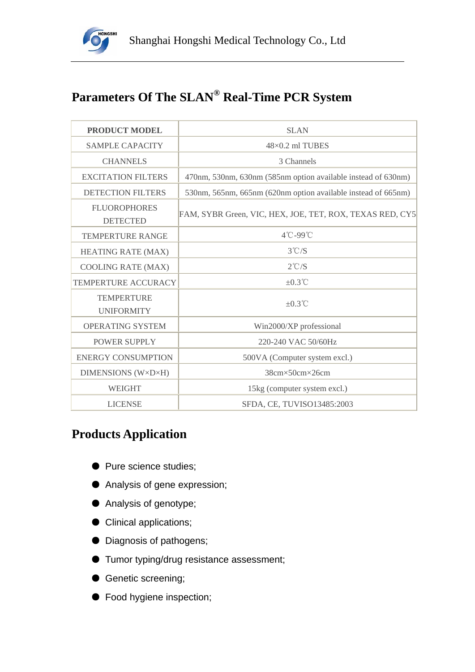

# **Parameters Of The SLAN® Real-Time PCR System**

| <b>PRODUCT MODEL</b>                   | <b>SLAN</b>                                                   |  |  |  |  |
|----------------------------------------|---------------------------------------------------------------|--|--|--|--|
| <b>SAMPLE CAPACITY</b>                 | $48\times0.2$ ml TUBES                                        |  |  |  |  |
| <b>CHANNELS</b>                        | 3 Channels                                                    |  |  |  |  |
| <b>EXCITATION FILTERS</b>              | 470nm, 530nm, 630nm (585nm option available instead of 630nm) |  |  |  |  |
| <b>DETECTION FILTERS</b>               | 530nm, 565nm, 665nm (620nm option available instead of 665nm) |  |  |  |  |
| <b>FLUOROPHORES</b><br><b>DETECTED</b> | FAM, SYBR Green, VIC, HEX, JOE, TET, ROX, TEXAS RED, CY5      |  |  |  |  |
| <b>TEMPERTURE RANGE</b>                | 4°C-99°C                                                      |  |  |  |  |
| <b>HEATING RATE (MAX)</b>              | $3^{\circ}$ C/S                                               |  |  |  |  |
| <b>COOLING RATE (MAX)</b>              | $2^{\circ}$ C/S                                               |  |  |  |  |
| <b>TEMPERTURE ACCURACY</b>             | $\pm 0.3^{\circ}$ C                                           |  |  |  |  |
| <b>TEMPERTURE</b><br><b>UNIFORMITY</b> | $\pm 0.3^{\circ}$ C                                           |  |  |  |  |
| <b>OPERATING SYSTEM</b>                | Win2000/XP professional                                       |  |  |  |  |
| <b>POWER SUPPLY</b>                    | 220-240 VAC 50/60Hz                                           |  |  |  |  |
| <b>ENERGY CONSUMPTION</b>              | 500VA (Computer system excl.)                                 |  |  |  |  |
| <b>DIMENSIONS (W×D×H)</b>              | 38cm×50cm×26cm                                                |  |  |  |  |
| <b>WEIGHT</b>                          | 15kg (computer system excl.)                                  |  |  |  |  |
| <b>LICENSE</b>                         | SFDA, CE, TUVISO13485:2003                                    |  |  |  |  |

# **Products Application**

- Pure science studies;
- Analysis of gene expression;
- Analysis of genotype;
- Clinical applications;
- Diagnosis of pathogens;
- Tumor typing/drug resistance assessment;
- Genetic screening;
- Food hygiene inspection;